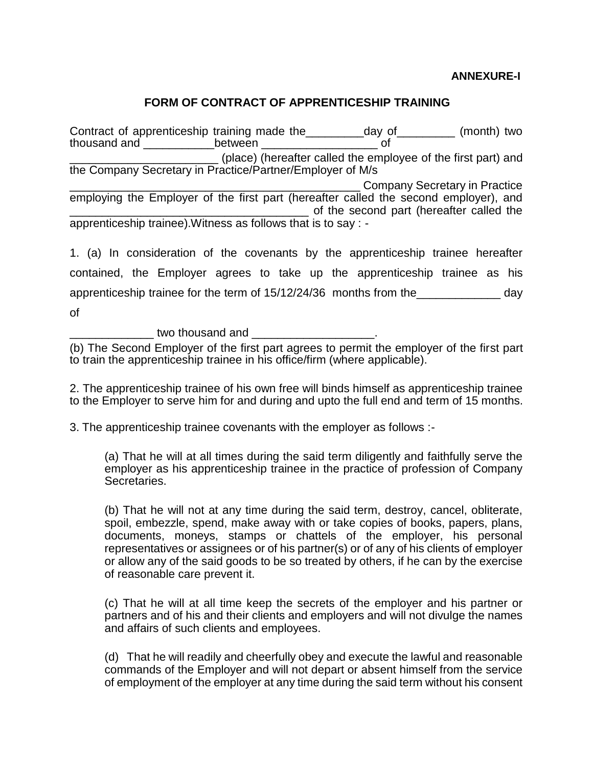#### **ANNEXURE-I**

## **FORM OF CONTRACT OF APPRENTICESHIP TRAINING**

Contract of apprenticeship training made the\_\_\_\_\_\_\_\_day of\_\_\_\_\_\_\_\_ (month) two thousand and \_\_\_\_\_\_\_\_\_\_\_between \_\_\_\_\_\_\_\_\_\_\_\_\_\_\_\_\_\_ of \_\_\_\_\_\_\_\_\_\_\_\_\_\_\_\_\_\_\_\_\_\_\_ (place) (hereafter called the employee of the first part) and the Company Secretary in Practice/Partner/Employer of M/s \_\_\_\_\_\_\_\_\_\_\_\_\_\_\_\_\_\_\_\_\_\_\_\_\_\_\_\_\_\_\_\_\_\_\_\_\_\_\_\_\_\_\_\_\_ Company Secretary in Practice employing the Employer of the first part (hereafter called the second employer), and \_\_\_\_\_\_\_\_\_\_\_\_\_\_\_\_\_\_\_\_\_\_\_\_\_\_\_\_\_\_\_\_\_\_\_\_\_ of the second part (hereafter called the apprenticeship trainee).Witness as follows that is to say : -

1. (a) In consideration of the covenants by the apprenticeship trainee hereafter contained, the Employer agrees to take up the apprenticeship trainee as his apprenticeship trainee for the term of 15/12/24/36 months from the day of

two thousand and **Land** 

(b) The Second Employer of the first part agrees to permit the employer of the first part to train the apprenticeship trainee in his office/firm (where applicable).

2. The apprenticeship trainee of his own free will binds himself as apprenticeship trainee to the Employer to serve him for and during and upto the full end and term of 15 months.

3. The apprenticeship trainee covenants with the employer as follows :-

(a) That he will at all times during the said term diligently and faithfully serve the employer as his apprenticeship trainee in the practice of profession of Company Secretaries.

(b) That he will not at any time during the said term, destroy, cancel, obliterate, spoil, embezzle, spend, make away with or take copies of books, papers, plans, documents, moneys, stamps or chattels of the employer, his personal representatives or assignees or of his partner(s) or of any of his clients of employer or allow any of the said goods to be so treated by others, if he can by the exercise of reasonable care prevent it.

(c) That he will at all time keep the secrets of the employer and his partner or partners and of his and their clients and employers and will not divulge the names and affairs of such clients and employees.

(d) That he will readily and cheerfully obey and execute the lawful and reasonable commands of the Employer and will not depart or absent himself from the service of employment of the employer at any time during the said term without his consent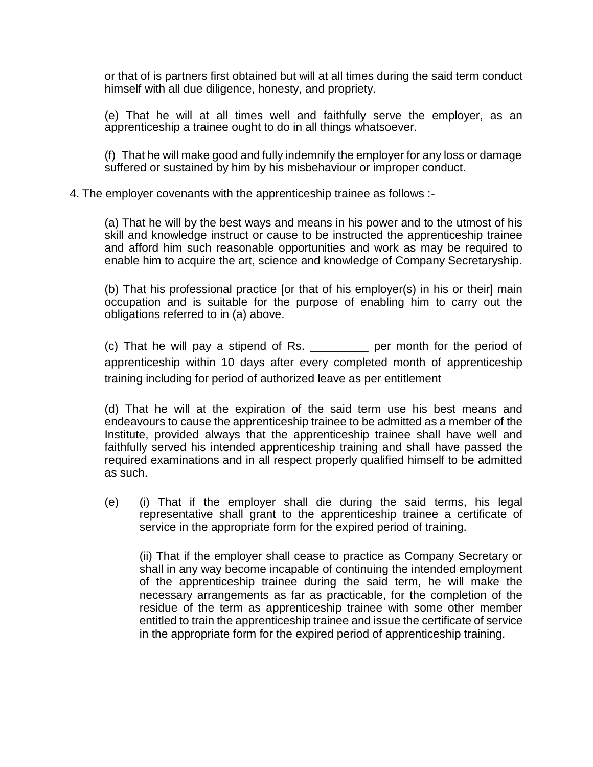or that of is partners first obtained but will at all times during the said term conduct himself with all due diligence, honesty, and propriety.

(e) That he will at all times well and faithfully serve the employer, as an apprenticeship a trainee ought to do in all things whatsoever.

(f) That he will make good and fully indemnify the employer for any loss or damage suffered or sustained by him by his misbehaviour or improper conduct.

#### 4. The employer covenants with the apprenticeship trainee as follows :-

(a) That he will by the best ways and means in his power and to the utmost of his skill and knowledge instruct or cause to be instructed the apprenticeship trainee and afford him such reasonable opportunities and work as may be required to enable him to acquire the art, science and knowledge of Company Secretaryship.

(b) That his professional practice [or that of his employer(s) in his or their] main occupation and is suitable for the purpose of enabling him to carry out the obligations referred to in (a) above.

(c) That he will pay a stipend of Rs. \_\_\_\_\_\_\_\_\_ per month for the period of apprenticeship within 10 days after every completed month of apprenticeship training including for period of authorized leave as per entitlement

(d) That he will at the expiration of the said term use his best means and endeavours to cause the apprenticeship trainee to be admitted as a member of the Institute, provided always that the apprenticeship trainee shall have well and faithfully served his intended apprenticeship training and shall have passed the required examinations and in all respect properly qualified himself to be admitted as such.

(e) (i) That if the employer shall die during the said terms, his legal representative shall grant to the apprenticeship trainee a certificate of service in the appropriate form for the expired period of training.

(ii) That if the employer shall cease to practice as Company Secretary or shall in any way become incapable of continuing the intended employment of the apprenticeship trainee during the said term, he will make the necessary arrangements as far as practicable, for the completion of the residue of the term as apprenticeship trainee with some other member entitled to train the apprenticeship trainee and issue the certificate of service in the appropriate form for the expired period of apprenticeship training.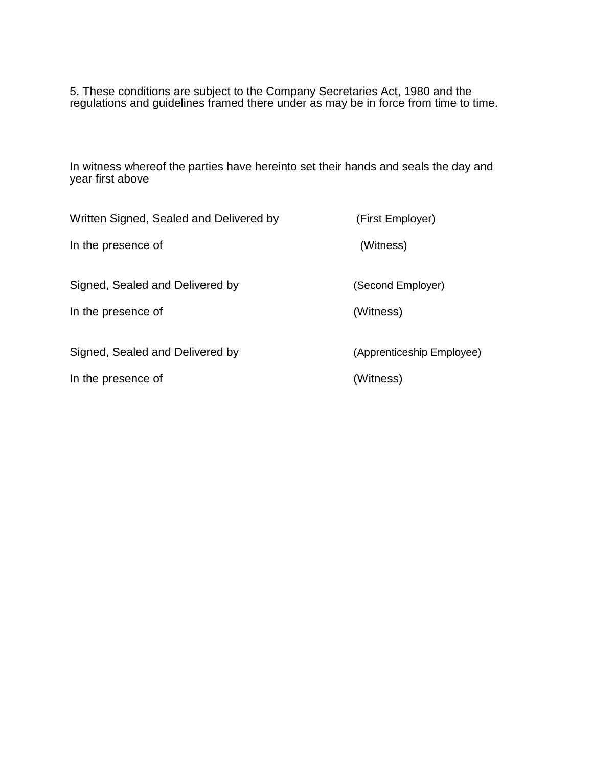5. These conditions are subject to the Company Secretaries Act, 1980 and the regulations and guidelines framed there under as may be in force from time to time.

In witness whereof the parties have hereinto set their hands and seals the day and year first above

| Written Signed, Sealed and Delivered by | (First Employer)          |
|-----------------------------------------|---------------------------|
| In the presence of                      | (Witness)                 |
| Signed, Sealed and Delivered by         | (Second Employer)         |
| In the presence of                      | (Witness)                 |
| Signed, Sealed and Delivered by         | (Apprenticeship Employee) |
| In the presence of                      | (Witness)                 |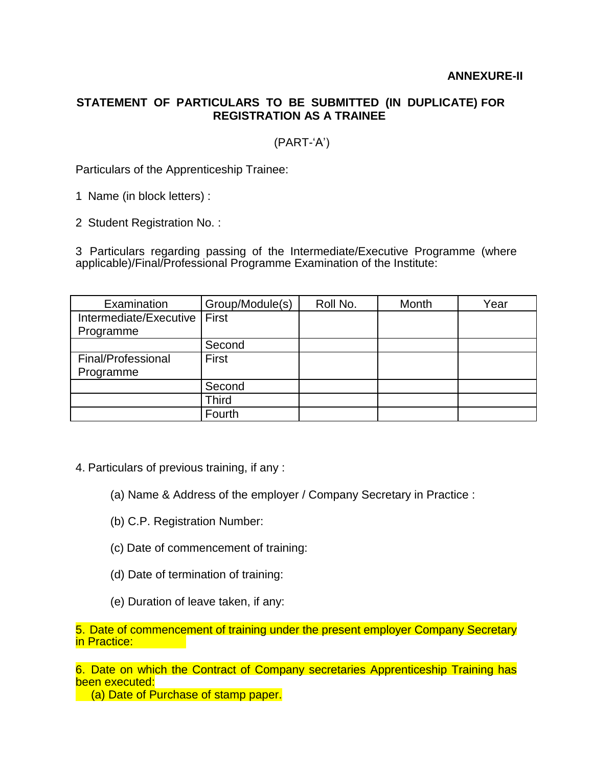### **ANNEXURE-II**

# **STATEMENT OF PARTICULARS TO BE SUBMITTED (IN DUPLICATE) FOR REGISTRATION AS A TRAINEE**

# (PART-'A')

Particulars of the Apprenticeship Trainee:

1 Name (in block letters) :

2 Student Registration No. :

3 Particulars regarding passing of the Intermediate/Executive Programme (where applicable)/Final/Professional Programme Examination of the Institute:

| Examination            | Group/Module(s) | Roll No. | Month | Year |
|------------------------|-----------------|----------|-------|------|
| Intermediate/Executive | First           |          |       |      |
| Programme              |                 |          |       |      |
|                        | Second          |          |       |      |
| Final/Professional     | <b>First</b>    |          |       |      |
| Programme              |                 |          |       |      |
|                        | Second          |          |       |      |
|                        | Third           |          |       |      |
|                        | Fourth          |          |       |      |

- 4. Particulars of previous training, if any :
	- (a) Name & Address of the employer / Company Secretary in Practice :
	- (b) C.P. Registration Number:
	- (c) Date of commencement of training:
	- (d) Date of termination of training:
	- (e) Duration of leave taken, if any:

5. Date of commencement of training under the present employer Company Secretary in Practice:

6. Date on which the Contract of Company secretaries Apprenticeship Training has been executed:

(a) Date of Purchase of stamp paper.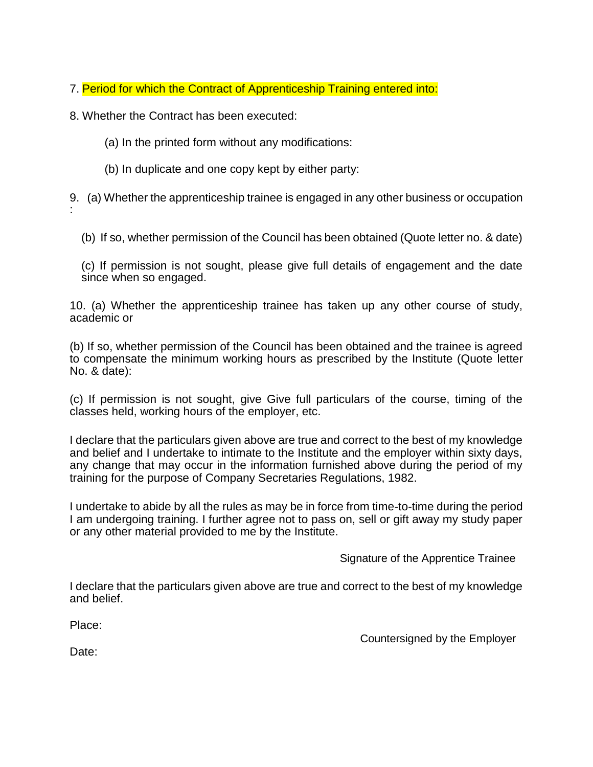- 7. Period for which the Contract of Apprenticeship Training entered into:
- 8. Whether the Contract has been executed:
	- (a) In the printed form without any modifications:
	- (b) In duplicate and one copy kept by either party:

9. (a) Whether the apprenticeship trainee is engaged in any other business or occupation :

(b) If so, whether permission of the Council has been obtained (Quote letter no. & date)

(c) If permission is not sought, please give full details of engagement and the date since when so engaged.

10. (a) Whether the apprenticeship trainee has taken up any other course of study, academic or

(b) If so, whether permission of the Council has been obtained and the trainee is agreed to compensate the minimum working hours as prescribed by the Institute (Quote letter No. & date):

(c) If permission is not sought, give Give full particulars of the course, timing of the classes held, working hours of the employer, etc.

I declare that the particulars given above are true and correct to the best of my knowledge and belief and I undertake to intimate to the Institute and the employer within sixty days, any change that may occur in the information furnished above during the period of my training for the purpose of Company Secretaries Regulations, 1982.

I undertake to abide by all the rules as may be in force from time-to-time during the period I am undergoing training. I further agree not to pass on, sell or gift away my study paper or any other material provided to me by the Institute.

Signature of the Apprentice Trainee

I declare that the particulars given above are true and correct to the best of my knowledge and belief.

Place:

Countersigned by the Employer

Date: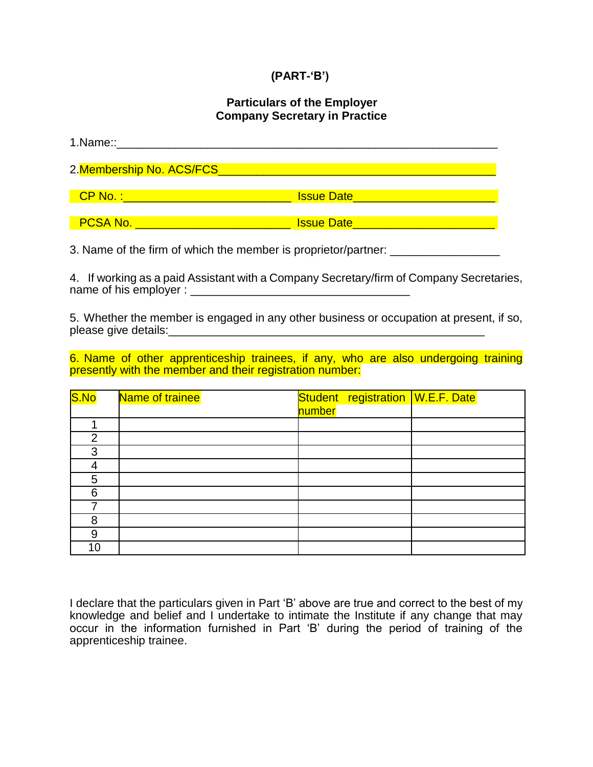# **(PART-'B')**

### **Particulars of the Employer Company Secretary in Practice**

| 1.Name::______________                                                                                        |                                              |  |
|---------------------------------------------------------------------------------------------------------------|----------------------------------------------|--|
| 2. Membership No. ACS/FCS New York Contract to the Manual Action of the Manual Action of the Manual Action of |                                              |  |
|                                                                                                               | <u>Issue Date __________________________</u> |  |
| <b>PCSA No.</b>                                                                                               | <b>Issue Date</b>                            |  |

3. Name of the firm of which the member is proprietor/partner: \_\_\_\_\_\_\_\_\_\_\_\_\_\_\_\_\_

4. If working as a paid Assistant with a Company Secretary/firm of Company Secretaries, name of his employer : \_\_\_\_\_\_\_\_\_\_\_\_\_\_\_\_\_\_\_\_\_\_\_\_\_\_\_\_\_\_\_\_\_\_

5. Whether the member is engaged in any other business or occupation at present, if so, please give details:\_\_\_\_\_\_\_\_\_\_\_\_\_\_\_\_\_\_\_\_\_\_\_\_\_\_\_\_\_\_\_\_\_\_\_\_\_\_\_\_\_\_\_\_\_\_\_\_\_

6. Name of other apprenticeship trainees, if any, who are also undergoing training presently with the member and their registration number:

| S.No | Name of trainee | Student registration W.E.F. Date |  |
|------|-----------------|----------------------------------|--|
|      |                 | number                           |  |
|      |                 |                                  |  |
| 2    |                 |                                  |  |
| 3    |                 |                                  |  |
|      |                 |                                  |  |
| 5    |                 |                                  |  |
| 6    |                 |                                  |  |
|      |                 |                                  |  |
| 8    |                 |                                  |  |
| 9    |                 |                                  |  |
| 10   |                 |                                  |  |

I declare that the particulars given in Part 'B' above are true and correct to the best of my knowledge and belief and I undertake to intimate the Institute if any change that may occur in the information furnished in Part 'B' during the period of training of the apprenticeship trainee.